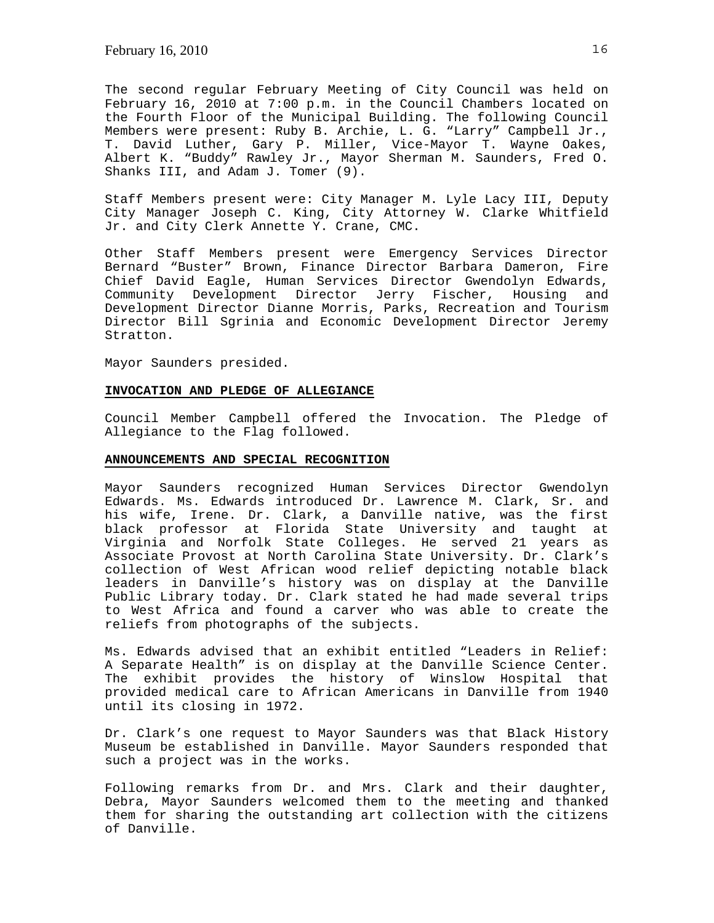The second regular February Meeting of City Council was held on February 16, 2010 at 7:00 p.m. in the Council Chambers located on the Fourth Floor of the Municipal Building. The following Council Members were present: Ruby B. Archie, L. G. "Larry" Campbell Jr., T. David Luther, Gary P. Miller, Vice-Mayor T. Wayne Oakes, Albert K. "Buddy" Rawley Jr., Mayor Sherman M. Saunders, Fred O. Shanks III, and Adam J. Tomer (9).

Staff Members present were: City Manager M. Lyle Lacy III, Deputy City Manager Joseph C. King, City Attorney W. Clarke Whitfield Jr. and City Clerk Annette Y. Crane, CMC.

Other Staff Members present were Emergency Services Director Bernard "Buster" Brown, Finance Director Barbara Dameron, Fire Chief David Eagle, Human Services Director Gwendolyn Edwards, Community Development Director Jerry Fischer, Housing and Development Director Dianne Morris, Parks, Recreation and Tourism Director Bill Sgrinia and Economic Development Director Jeremy Stratton.

Mayor Saunders presided.

#### **INVOCATION AND PLEDGE OF ALLEGIANCE**

Council Member Campbell offered the Invocation. The Pledge of Allegiance to the Flag followed.

#### **ANNOUNCEMENTS AND SPECIAL RECOGNITION**

Mayor Saunders recognized Human Services Director Gwendolyn Edwards. Ms. Edwards introduced Dr. Lawrence M. Clark, Sr. and his wife, Irene. Dr. Clark, a Danville native, was the first black professor at Florida State University and taught at Virginia and Norfolk State Colleges. He served 21 years as Associate Provost at North Carolina State University. Dr. Clark's collection of West African wood relief depicting notable black leaders in Danville's history was on display at the Danville Public Library today. Dr. Clark stated he had made several trips to West Africa and found a carver who was able to create the reliefs from photographs of the subjects.

Ms. Edwards advised that an exhibit entitled "Leaders in Relief: A Separate Health" is on display at the Danville Science Center. The exhibit provides the history of Winslow Hospital that provided medical care to African Americans in Danville from 1940 until its closing in 1972.

Dr. Clark's one request to Mayor Saunders was that Black History Museum be established in Danville. Mayor Saunders responded that such a project was in the works.

Following remarks from Dr. and Mrs. Clark and their daughter, Debra, Mayor Saunders welcomed them to the meeting and thanked them for sharing the outstanding art collection with the citizens of Danville.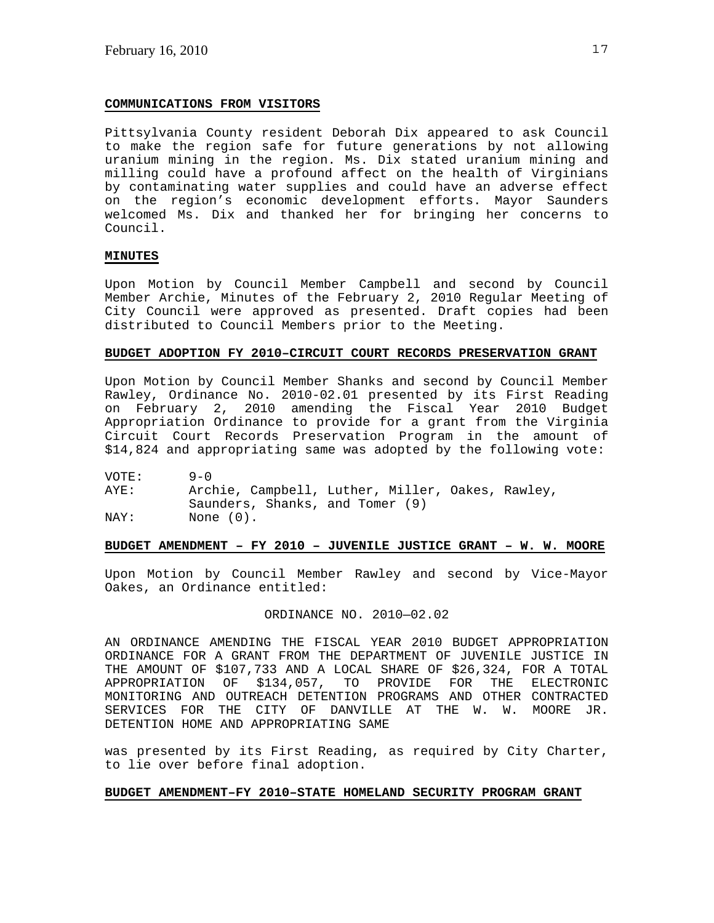## **COMMUNICATIONS FROM VISITORS**

Pittsylvania County resident Deborah Dix appeared to ask Council to make the region safe for future generations by not allowing uranium mining in the region. Ms. Dix stated uranium mining and milling could have a profound affect on the health of Virginians by contaminating water supplies and could have an adverse effect on the region's economic development efforts. Mayor Saunders welcomed Ms. Dix and thanked her for bringing her concerns to Council.

# **MINUTES**

Upon Motion by Council Member Campbell and second by Council Member Archie, Minutes of the February 2, 2010 Regular Meeting of City Council were approved as presented. Draft copies had been distributed to Council Members prior to the Meeting.

## **BUDGET ADOPTION FY 2010–CIRCUIT COURT RECORDS PRESERVATION GRANT**

Upon Motion by Council Member Shanks and second by Council Member Rawley, Ordinance No. 2010-02.01 presented by its First Reading on February 2, 2010 amending the Fiscal Year 2010 Budget Appropriation Ordinance to provide for a grant from the Virginia Circuit Court Records Preservation Program in the amount of \$14,824 and appropriating same was adopted by the following vote:

VOTE: 9-0 AYE: Archie, Campbell, Luther, Miller, Oakes, Rawley, Saunders, Shanks, and Tomer (9)<br>NAY: None (0). None (0).

## **BUDGET AMENDMENT – FY 2010 – JUVENILE JUSTICE GRANT – W. W. MOORE**

Upon Motion by Council Member Rawley and second by Vice-Mayor Oakes, an Ordinance entitled:

## ORDINANCE NO. 2010—02.02

AN ORDINANCE AMENDING THE FISCAL YEAR 2010 BUDGET APPROPRIATION ORDINANCE FOR A GRANT FROM THE DEPARTMENT OF JUVENILE JUSTICE IN THE AMOUNT OF \$107,733 AND A LOCAL SHARE OF \$26,324, FOR A TOTAL APPROPRIATION OF \$134,057, TO PROVIDE FOR THE ELECTRONIC MONITORING AND OUTREACH DETENTION PROGRAMS AND OTHER CONTRACTED SERVICES FOR THE CITY OF DANVILLE AT THE W. W. MOORE JR. DETENTION HOME AND APPROPRIATING SAME

was presented by its First Reading, as required by City Charter, to lie over before final adoption.

## **BUDGET AMENDMENT–FY 2010–STATE HOMELAND SECURITY PROGRAM GRANT**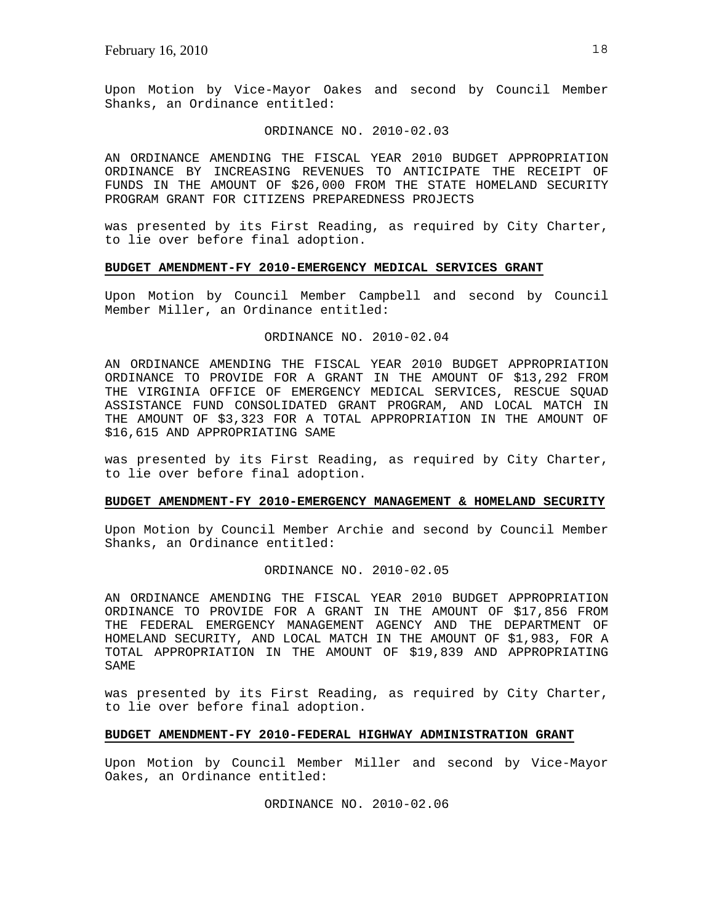Upon Motion by Vice-Mayor Oakes and second by Council Member Shanks, an Ordinance entitled:

#### ORDINANCE NO. 2010-02.03

AN ORDINANCE AMENDING THE FISCAL YEAR 2010 BUDGET APPROPRIATION ORDINANCE BY INCREASING REVENUES TO ANTICIPATE THE RECEIPT OF FUNDS IN THE AMOUNT OF \$26,000 FROM THE STATE HOMELAND SECURITY PROGRAM GRANT FOR CITIZENS PREPAREDNESS PROJECTS

was presented by its First Reading, as required by City Charter, to lie over before final adoption.

## **BUDGET AMENDMENT-FY 2010-EMERGENCY MEDICAL SERVICES GRANT**

Upon Motion by Council Member Campbell and second by Council Member Miller, an Ordinance entitled:

## ORDINANCE NO. 2010-02.04

AN ORDINANCE AMENDING THE FISCAL YEAR 2010 BUDGET APPROPRIATION ORDINANCE TO PROVIDE FOR A GRANT IN THE AMOUNT OF \$13,292 FROM THE VIRGINIA OFFICE OF EMERGENCY MEDICAL SERVICES, RESCUE SQUAD ASSISTANCE FUND CONSOLIDATED GRANT PROGRAM, AND LOCAL MATCH IN THE AMOUNT OF \$3,323 FOR A TOTAL APPROPRIATION IN THE AMOUNT OF \$16,615 AND APPROPRIATING SAME

was presented by its First Reading, as required by City Charter, to lie over before final adoption.

#### **BUDGET AMENDMENT-FY 2010-EMERGENCY MANAGEMENT & HOMELAND SECURITY**

Upon Motion by Council Member Archie and second by Council Member Shanks, an Ordinance entitled:

# ORDINANCE NO. 2010-02.05

AN ORDINANCE AMENDING THE FISCAL YEAR 2010 BUDGET APPROPRIATION ORDINANCE TO PROVIDE FOR A GRANT IN THE AMOUNT OF \$17,856 FROM THE FEDERAL EMERGENCY MANAGEMENT AGENCY AND THE DEPARTMENT OF HOMELAND SECURITY, AND LOCAL MATCH IN THE AMOUNT OF \$1,983, FOR A TOTAL APPROPRIATION IN THE AMOUNT OF \$19,839 AND APPROPRIATING SAME

was presented by its First Reading, as required by City Charter, to lie over before final adoption.

#### **BUDGET AMENDMENT-FY 2010-FEDERAL HIGHWAY ADMINISTRATION GRANT**

Upon Motion by Council Member Miller and second by Vice-Mayor Oakes, an Ordinance entitled:

ORDINANCE NO. 2010-02.06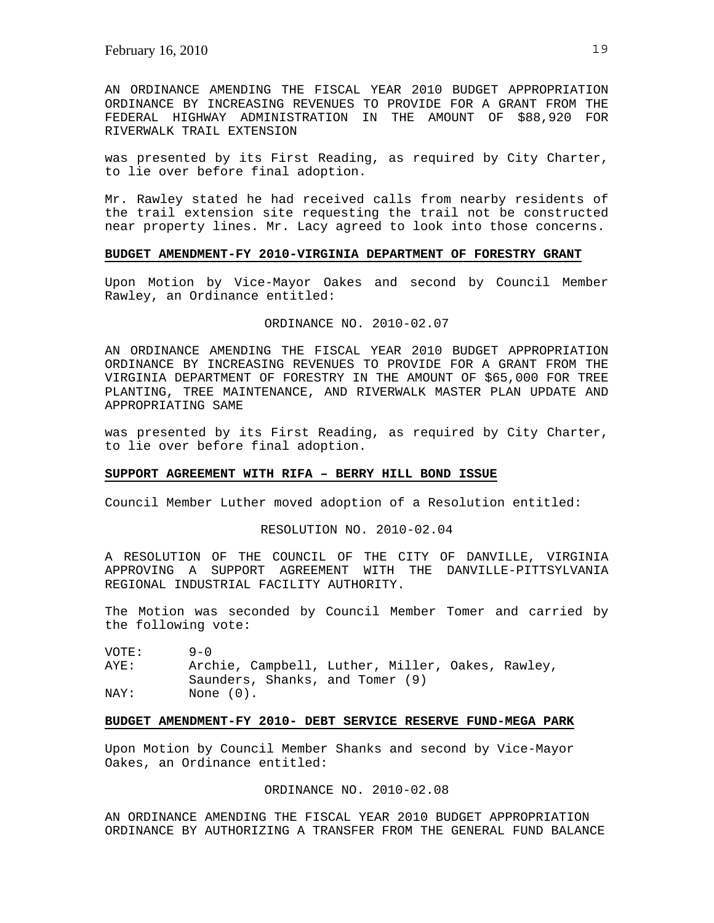AN ORDINANCE AMENDING THE FISCAL YEAR 2010 BUDGET APPROPRIATION ORDINANCE BY INCREASING REVENUES TO PROVIDE FOR A GRANT FROM THE FEDERAL HIGHWAY ADMINISTRATION IN THE AMOUNT OF \$88,920 FOR RIVERWALK TRAIL EXTENSION

was presented by its First Reading, as required by City Charter, to lie over before final adoption.

Mr. Rawley stated he had received calls from nearby residents of the trail extension site requesting the trail not be constructed near property lines. Mr. Lacy agreed to look into those concerns.

#### **BUDGET AMENDMENT-FY 2010-VIRGINIA DEPARTMENT OF FORESTRY GRANT**

Upon Motion by Vice-Mayor Oakes and second by Council Member Rawley, an Ordinance entitled:

## ORDINANCE NO. 2010-02.07

AN ORDINANCE AMENDING THE FISCAL YEAR 2010 BUDGET APPROPRIATION ORDINANCE BY INCREASING REVENUES TO PROVIDE FOR A GRANT FROM THE VIRGINIA DEPARTMENT OF FORESTRY IN THE AMOUNT OF \$65,000 FOR TREE PLANTING, TREE MAINTENANCE, AND RIVERWALK MASTER PLAN UPDATE AND APPROPRIATING SAME

was presented by its First Reading, as required by City Charter, to lie over before final adoption.

# **SUPPORT AGREEMENT WITH RIFA – BERRY HILL BOND ISSUE**

Council Member Luther moved adoption of a Resolution entitled:

RESOLUTION NO. 2010-02.04

A RESOLUTION OF THE COUNCIL OF THE CITY OF DANVILLE, VIRGINIA APPROVING A SUPPORT AGREEMENT WITH THE DANVILLE-PITTSYLVANIA REGIONAL INDUSTRIAL FACILITY AUTHORITY.

The Motion was seconded by Council Member Tomer and carried by the following vote:

VOTE: 9-0 AYE: Archie, Campbell, Luther, Miller, Oakes, Rawley, Saunders, Shanks, and Tomer (9) NAY: None  $(0)$ .

## **BUDGET AMENDMENT-FY 2010- DEBT SERVICE RESERVE FUND-MEGA PARK**

Upon Motion by Council Member Shanks and second by Vice-Mayor Oakes, an Ordinance entitled:

## ORDINANCE NO. 2010-02.08

AN ORDINANCE AMENDING THE FISCAL YEAR 2010 BUDGET APPROPRIATION ORDINANCE BY AUTHORIZING A TRANSFER FROM THE GENERAL FUND BALANCE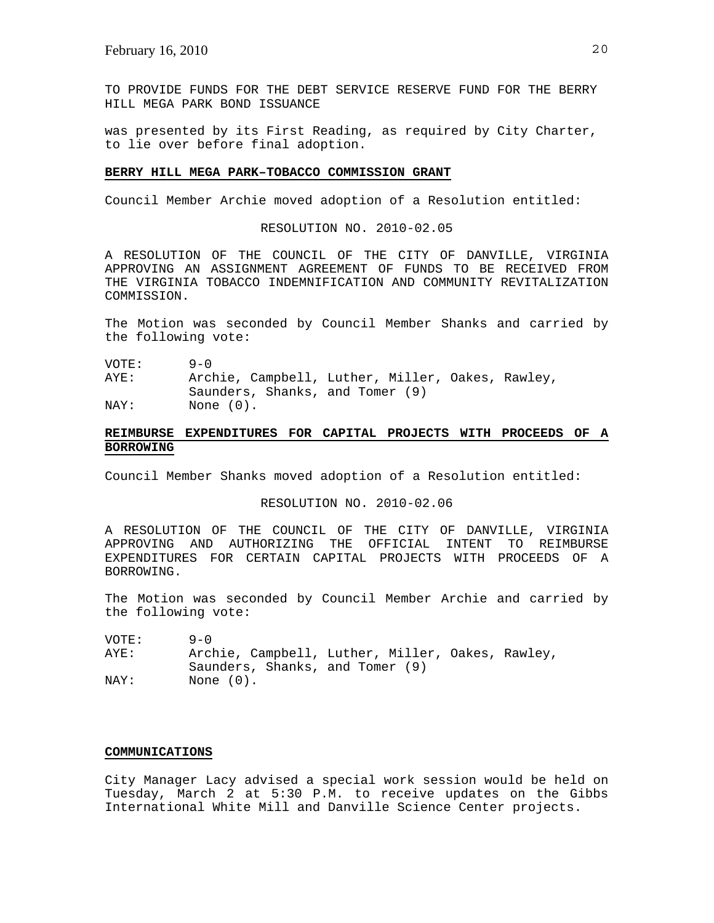TO PROVIDE FUNDS FOR THE DEBT SERVICE RESERVE FUND FOR THE BERRY HILL MEGA PARK BOND ISSUANCE

was presented by its First Reading, as required by City Charter, to lie over before final adoption.

## **BERRY HILL MEGA PARK–TOBACCO COMMISSION GRANT**

Council Member Archie moved adoption of a Resolution entitled:

#### RESOLUTION NO. 2010-02.05

A RESOLUTION OF THE COUNCIL OF THE CITY OF DANVILLE, VIRGINIA APPROVING AN ASSIGNMENT AGREEMENT OF FUNDS TO BE RECEIVED FROM THE VIRGINIA TOBACCO INDEMNIFICATION AND COMMUNITY REVITALIZATION COMMISSION.

The Motion was seconded by Council Member Shanks and carried by the following vote:

VOTE: 9-0

AYE: Archie, Campbell, Luther, Miller, Oakes, Rawley, Saunders, Shanks, and Tomer (9)

NAY: None (0).

# **REIMBURSE EXPENDITURES FOR CAPITAL PROJECTS WITH PROCEEDS OF A BORROWING**

Council Member Shanks moved adoption of a Resolution entitled:

## RESOLUTION NO. 2010-02.06

A RESOLUTION OF THE COUNCIL OF THE CITY OF DANVILLE, VIRGINIA APPROVING AND AUTHORIZING THE OFFICIAL INTENT TO REIMBURSE EXPENDITURES FOR CERTAIN CAPITAL PROJECTS WITH PROCEEDS OF A BORROWING.

The Motion was seconded by Council Member Archie and carried by the following vote:

VOTE: 9-0<br>AYE: Arcl Archie, Campbell, Luther, Miller, Oakes, Rawley, Saunders, Shanks, and Tomer (9) NAY: None (0).

#### **COMMUNICATIONS**

City Manager Lacy advised a special work session would be held on Tuesday, March 2 at 5:30 P.M. to receive updates on the Gibbs International White Mill and Danville Science Center projects.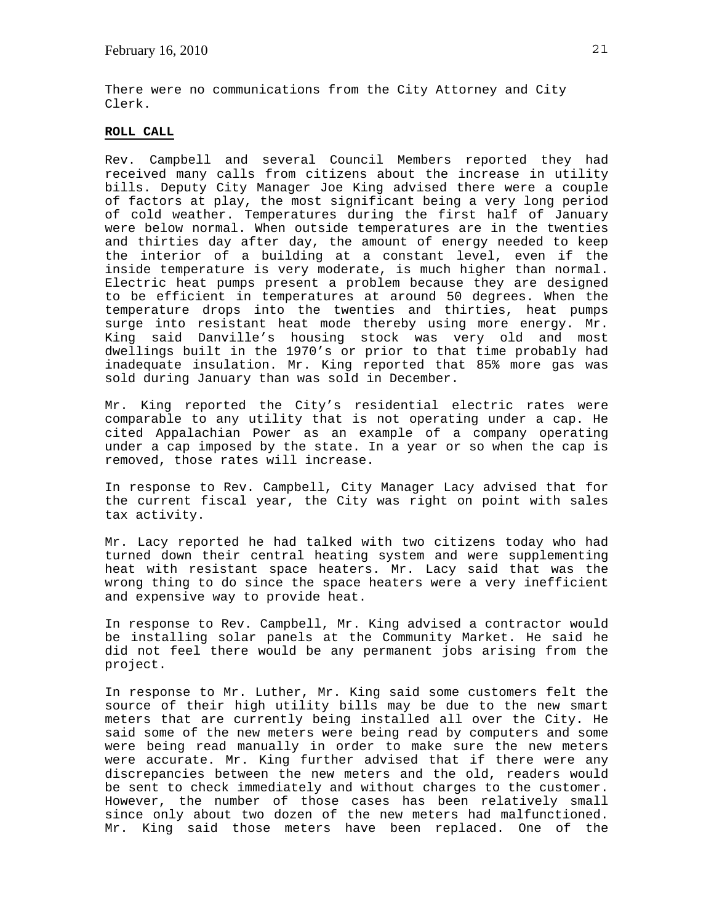There were no communications from the City Attorney and City Clerk.

## **ROLL CALL**

Rev. Campbell and several Council Members reported they had received many calls from citizens about the increase in utility bills. Deputy City Manager Joe King advised there were a couple of factors at play, the most significant being a very long period of cold weather. Temperatures during the first half of January were below normal. When outside temperatures are in the twenties and thirties day after day, the amount of energy needed to keep the interior of a building at a constant level, even if the inside temperature is very moderate, is much higher than normal. Electric heat pumps present a problem because they are designed to be efficient in temperatures at around 50 degrees. When the temperature drops into the twenties and thirties, heat pumps surge into resistant heat mode thereby using more energy. Mr. King said Danville's housing stock was very old and most dwellings built in the 1970's or prior to that time probably had inadequate insulation. Mr. King reported that 85% more gas was sold during January than was sold in December.

Mr. King reported the City's residential electric rates were comparable to any utility that is not operating under a cap. He cited Appalachian Power as an example of a company operating under a cap imposed by the state. In a year or so when the cap is removed, those rates will increase.

In response to Rev. Campbell, City Manager Lacy advised that for the current fiscal year, the City was right on point with sales tax activity.

Mr. Lacy reported he had talked with two citizens today who had turned down their central heating system and were supplementing heat with resistant space heaters. Mr. Lacy said that was the wrong thing to do since the space heaters were a very inefficient and expensive way to provide heat.

In response to Rev. Campbell, Mr. King advised a contractor would be installing solar panels at the Community Market. He said he did not feel there would be any permanent jobs arising from the project.

In response to Mr. Luther, Mr. King said some customers felt the source of their high utility bills may be due to the new smart meters that are currently being installed all over the City. He said some of the new meters were being read by computers and some were being read manually in order to make sure the new meters were accurate. Mr. King further advised that if there were any discrepancies between the new meters and the old, readers would be sent to check immediately and without charges to the customer. However, the number of those cases has been relatively small since only about two dozen of the new meters had malfunctioned. Mr. King said those meters have been replaced. One of the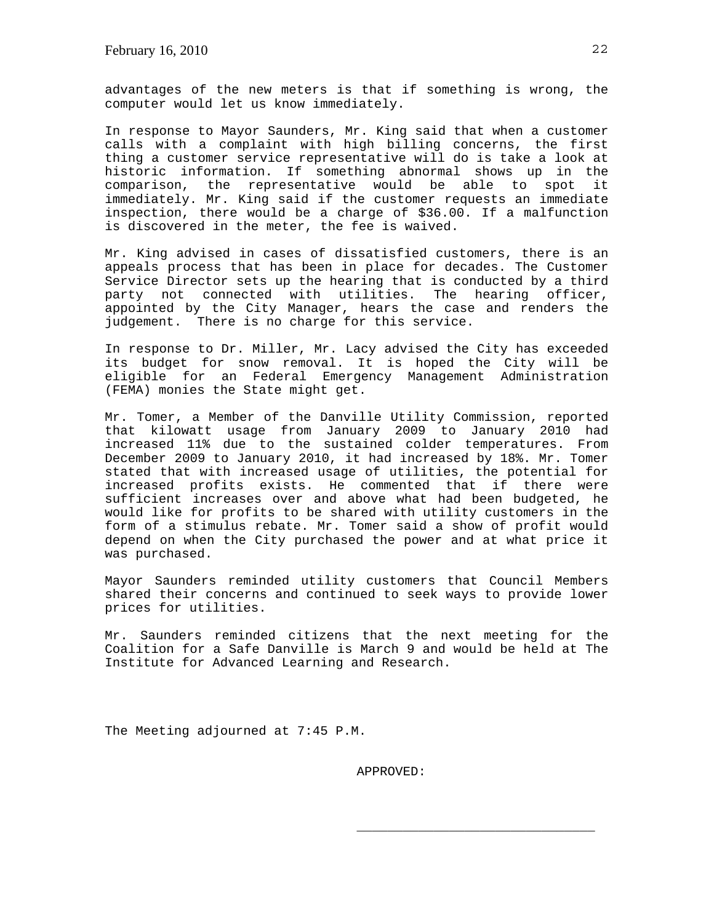advantages of the new meters is that if something is wrong, the computer would let us know immediately.

In response to Mayor Saunders, Mr. King said that when a customer calls with a complaint with high billing concerns, the first thing a customer service representative will do is take a look at historic information. If something abnormal shows up in the comparison, the representative would be able to spot immediately. Mr. King said if the customer requests an immediate inspection, there would be a charge of \$36.00. If a malfunction is discovered in the meter, the fee is waived.

Mr. King advised in cases of dissatisfied customers, there is an appeals process that has been in place for decades. The Customer Service Director sets up the hearing that is conducted by a third party not connected with utilities. The hearing officer, appointed by the City Manager, hears the case and renders the judgement. There is no charge for this service.

In response to Dr. Miller, Mr. Lacy advised the City has exceeded its budget for snow removal. It is hoped the City will be eligible for an Federal Emergency Management Administration (FEMA) monies the State might get.

Mr. Tomer, a Member of the Danville Utility Commission, reported that kilowatt usage from January 2009 to January 2010 had increased 11% due to the sustained colder temperatures. From December 2009 to January 2010, it had increased by 18%. Mr. Tomer stated that with increased usage of utilities, the potential for increased profits exists. He commented that if there were sufficient increases over and above what had been budgeted, he would like for profits to be shared with utility customers in the form of a stimulus rebate. Mr. Tomer said a show of profit would depend on when the City purchased the power and at what price it was purchased.

Mayor Saunders reminded utility customers that Council Members shared their concerns and continued to seek ways to provide lower prices for utilities.

Mr. Saunders reminded citizens that the next meeting for the Coalition for a Safe Danville is March 9 and would be held at The Institute for Advanced Learning and Research.

The Meeting adjourned at 7:45 P.M.

APPROVED:

\_\_\_\_\_\_\_\_\_\_\_\_\_\_\_\_\_\_\_\_\_\_\_\_\_\_\_\_\_\_\_